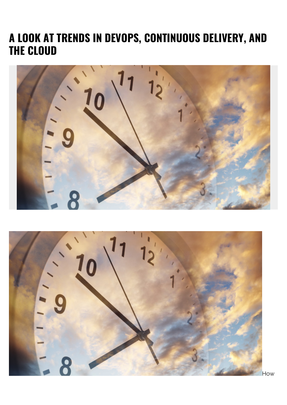## **A LOOK AT TRENDS IN DEVOPS, CONTINUOUS DELIVERY, AND THE CLOUD**